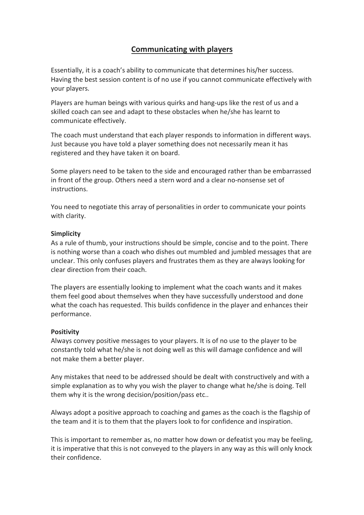# **Communicating with players**

Essentially, it is a coach's ability to communicate that determines his/her success. Having the best session content is of no use if you cannot communicate effectively with your players.

Players are human beings with various quirks and hang-ups like the rest of us and a skilled coach can see and adapt to these obstacles when he/she has learnt to communicate effectively.

The coach must understand that each player responds to information in different ways. Just because you have told a player something does not necessarily mean it has registered and they have taken it on board.

Some players need to be taken to the side and encouraged rather than be embarrassed in front of the group. Others need a stern word and a clear no-nonsense set of instructions.

You need to negotiate this array of personalities in order to communicate your points with clarity.

## **Simplicity**

As a rule of thumb, your instructions should be simple, concise and to the point. There is nothing worse than a coach who dishes out mumbled and jumbled messages that are unclear. This only confuses players and frustrates them as they are always looking for clear direction from their coach.

The players are essentially looking to implement what the coach wants and it makes them feel good about themselves when they have successfully understood and done what the coach has requested. This builds confidence in the player and enhances their performance.

#### **Positivity**

Always convey positive messages to your players. It is of no use to the player to be constantly told what he/she is not doing well as this will damage confidence and will not make them a better player.

Any mistakes that need to be addressed should be dealt with constructively and with a simple explanation as to why you wish the player to change what he/she is doing. Tell them why it is the wrong decision/position/pass etc..

Always adopt a positive approach to coaching and games as the coach is the flagship of the team and it is to them that the players look to for confidence and inspiration.

This is important to remember as, no matter how down or defeatist you may be feeling, it is imperative that this is not conveyed to the players in any way as this will only knock their confidence.